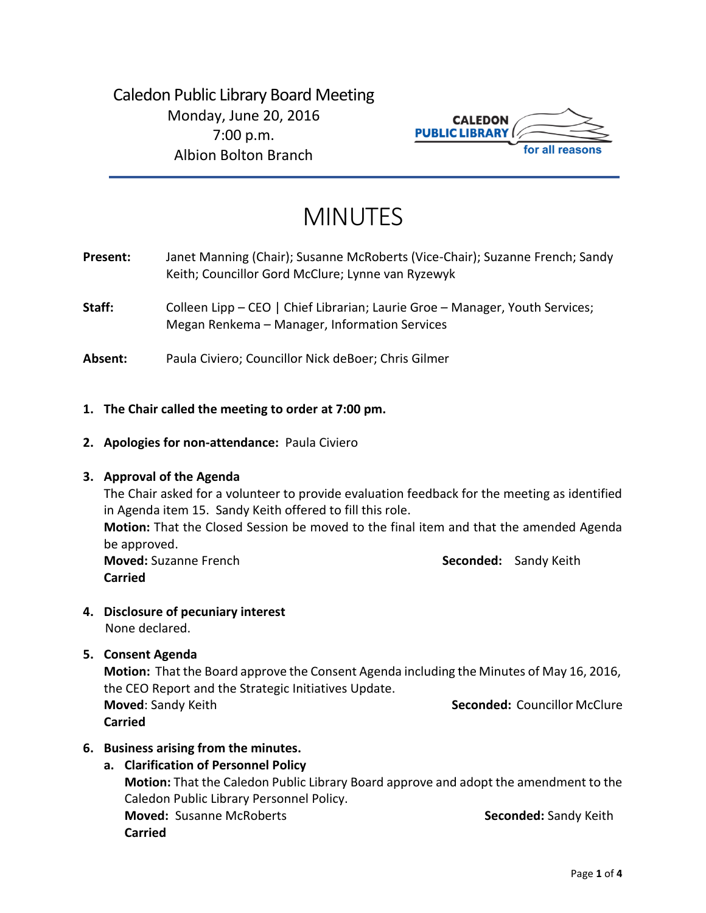Caledon Public Library Board Meeting Monday, June 20, 2016 7:00 p.m. Albion Bolton Branch



# MINUTES

- Present: Janet Manning (Chair); Susanne McRoberts (Vice-Chair); Suzanne French; Sandy Keith; Councillor Gord McClure; Lynne van Ryzewyk
- **Staff:** Colleen Lipp CEO | Chief Librarian; Laurie Groe Manager, Youth Services; Megan Renkema – Manager, Information Services
- **Absent:** Paula Civiero; Councillor Nick deBoer; Chris Gilmer
- **1. The Chair called the meeting to order at 7:00 pm.**
- **2. Apologies for non-attendance:** Paula Civiero

#### **3. Approval of the Agenda**

The Chair asked for a volunteer to provide evaluation feedback for the meeting as identified in Agenda item 15. Sandy Keith offered to fill this role. **Motion:** That the Closed Session be moved to the final item and that the amended Agenda be approved. **Moved:** Suzanne French **Seconded:** Sandy Keith **Carried**

**4. Disclosure of pecuniary interest**

None declared.

**5. Consent Agenda**

**Motion:** That the Board approve the Consent Agenda including the Minutes of May 16, 2016, the CEO Report and the Strategic Initiatives Update. **Moved**: Sandy Keith **Seconded:** Councillor McClure

**Carried**

- **6. Business arising from the minutes.**
	- **a. Clarification of Personnel Policy**

**Motion:** That the Caledon Public Library Board approve and adopt the amendment to the Caledon Public Library Personnel Policy. **Moved:** Susanne McRoberts **Seconded:** Sandy Keith **Carried**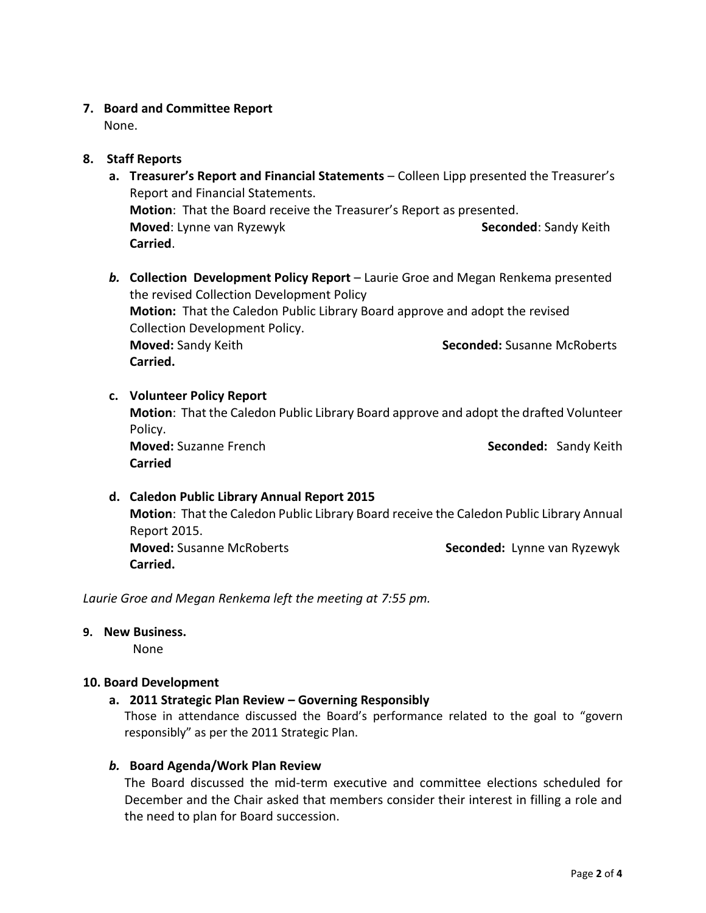## **7. Board and Committee Report**

None.

# **8. Staff Reports**

- **a. Treasurer's Report and Financial Statements** Colleen Lipp presented the Treasurer's Report and Financial Statements. **Motion**: That the Board receive the Treasurer's Report as presented. **Moved:** Lynne van Ryzewyk **Seconded: Sandy Keith** Seconded: Sandy Keith **Carried**.
- *b.* **Collection Development Policy Report**  Laurie Groe and Megan Renkema presented the revised Collection Development Policy **Motion:** That the Caledon Public Library Board approve and adopt the revised Collection Development Policy. **Moved:** Sandy Keith **Seconded:** Susanne McRoberts **Carried.**

#### **c. Volunteer Policy Report**

**Motion**: That the Caledon Public Library Board approve and adopt the drafted Volunteer Policy.

**Moved:** Suzanne French **Seconded:** Sandy Keith **Carried**

# **d. Caledon Public Library Annual Report 2015**

**Motion**: That the Caledon Public Library Board receive the Caledon Public Library Annual Report 2015. **Moved:** Susanne McRoberts **Seconded:** Lynne van Ryzewyk **Carried.**

*Laurie Groe and Megan Renkema left the meeting at 7:55 pm.*

## **9. New Business.**

None

#### **10. Board Development**

#### **a. 2011 Strategic Plan Review – Governing Responsibly**

Those in attendance discussed the Board's performance related to the goal to "govern responsibly" as per the 2011 Strategic Plan.

#### *b.* **Board Agenda/Work Plan Review**

The Board discussed the mid-term executive and committee elections scheduled for December and the Chair asked that members consider their interest in filling a role and the need to plan for Board succession.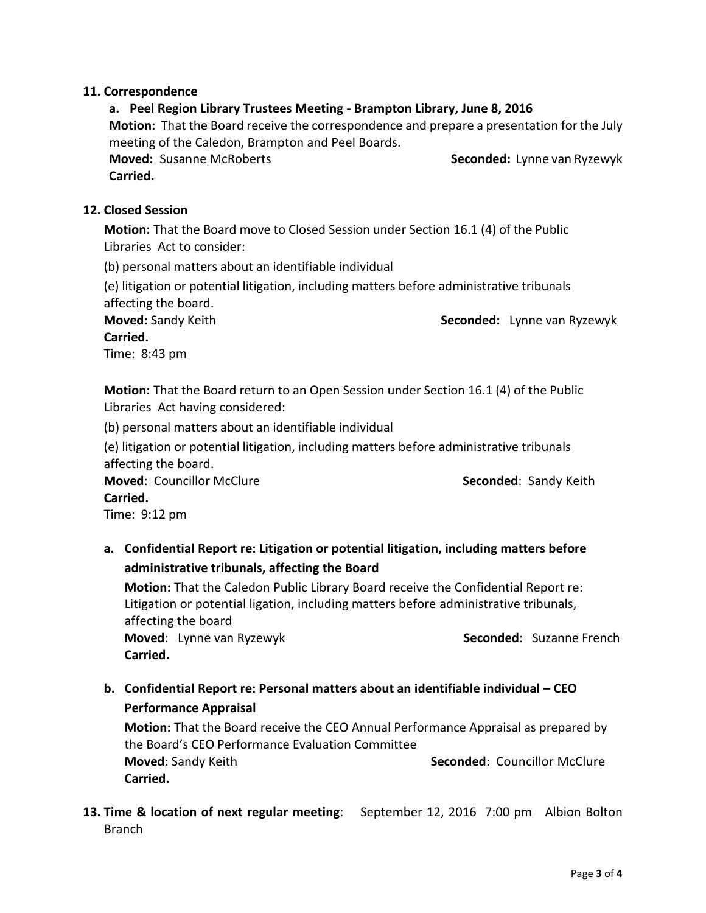#### **11. Correspondence**

**a. Peel Region Library Trustees Meeting - Brampton Library, June 8, 2016 Motion:** That the Board receive the correspondence and prepare a presentation for the July meeting of the Caledon, Brampton and Peel Boards. **Moved:** Susanne McRoberts **Seconded:** Lynne van Ryzewyk

**Carried.**

#### **12. Closed Session**

**Motion:** That the Board move to Closed Session under Section 16.1 (4) of the Public Libraries Act to consider:

(b) personal matters about an identifiable individual

(e) litigation or potential litigation, including matters before administrative tribunals affecting the board.

**Moved:** Sandy Keith **Seconded:** Lynne van Ryzewyk **Carried.**

Time: 8:43 pm

**Motion:** That the Board return to an Open Session under Section 16.1 (4) of the Public Libraries Act having considered:

(b) personal matters about an identifiable individual

(e) litigation or potential litigation, including matters before administrative tribunals affecting the board.

**Moved: Councillor McClure <b>Seconded**: Sandy Keith

#### **Carried.**

Time: 9:12 pm

**a. Confidential Report re: Litigation or potential litigation, including matters before administrative tribunals, affecting the Board**

**Motion:** That the Caledon Public Library Board receive the Confidential Report re: Litigation or potential ligation, including matters before administrative tribunals, affecting the board

**Moved:** Lynne van Ryzewyk **Seconded:** Suzanne French **Carried.**

**b. Confidential Report re: Personal matters about an identifiable individual – CEO Performance Appraisal**

**Motion:** That the Board receive the CEO Annual Performance Appraisal as prepared by the Board's CEO Performance Evaluation Committee **Moved**: Sandy Keith **Seconded**: Councillor McClure **Carried.**

**13. Time & location of next regular meeting**: September 12, 2016 7:00 pm Albion Bolton Branch